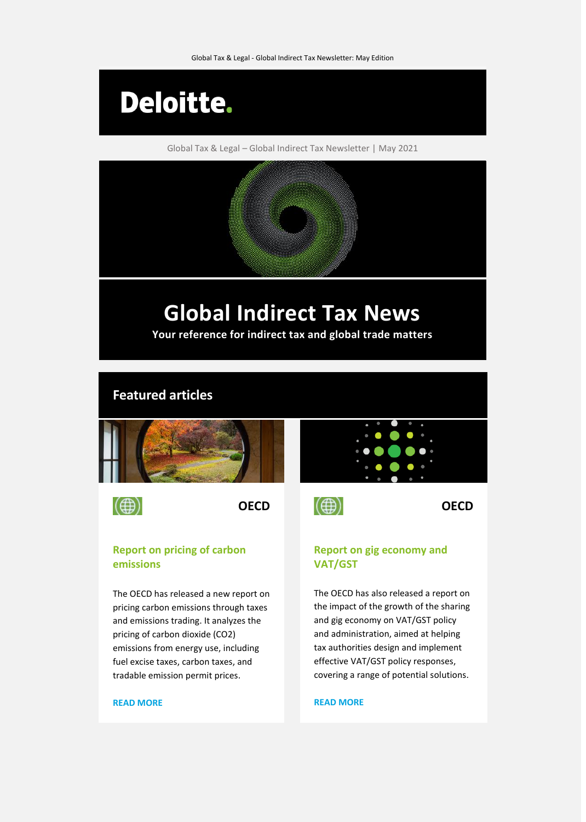

Global Tax & Legal – Global Indirect Tax Newsletter | May 2021

# **Global Indirect Tax News**

**Your reference for indirect tax and global trade matters**

### **Featured articles**



 $\circled{)}$ 

#### **Report on pricing of carbon emissions**

The OECD has released a new report on pricing carbon emissions through taxes and emissions trading. It analyzes the pricing of carbon dioxide (CO2) emissions from energy use, including fuel excise taxes, carbon taxes, and tradable emission permit prices.

#### **[READ MORE](https://www.taxathand.com/article/17590/OECD/2021/Report-released-on-pricing-of-carbon-emissions)**

## **OECD OECD**

#### **Report on gig economy and VAT/GST**

The OECD has also released a report on the impact of the growth of the sharing and gig economy on VAT/GST policy and administration, aimed at helping tax authorities design and implement effective VAT/GST policy responses, covering a range of potential solutions.

#### **[READ MORE](https://www.taxathand.com/article/17550/OECD/2021/Report-published-on-sharing-and-gig-economy-and-VATGST-policy-and-administration)**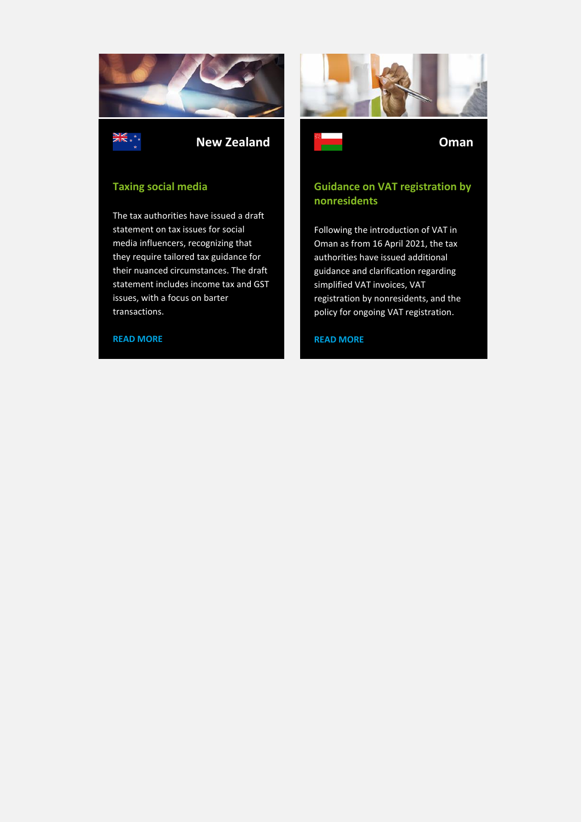

**New Zealand Oman**

#### **Taxing social media**

The tax authorities have issued a draft statement on tax issues for social media influencers, recognizing that they require tailored tax guidance for their nuanced circumstances. The draft statement includes income tax and GST issues, with a focus on barter transactions.

#### **[READ MORE](https://www.taxathand.com/article/17603/New-Zealand/2021/Taxing-social-media)**





### **Guidance on VAT registration by nonresidents**

Following the introduction of VAT in Oman as from 16 April 2021, the tax authorities have issued additional guidance and clarification regarding simplified VAT invoices, VAT registration by nonresidents, and the policy for ongoing VAT registration.

#### **[READ MORE](https://www.taxathand.com/article/17524/Oman/2021/Guidance-on-VAT-registration-by-nonresidents-released-as-VAT-introduced)**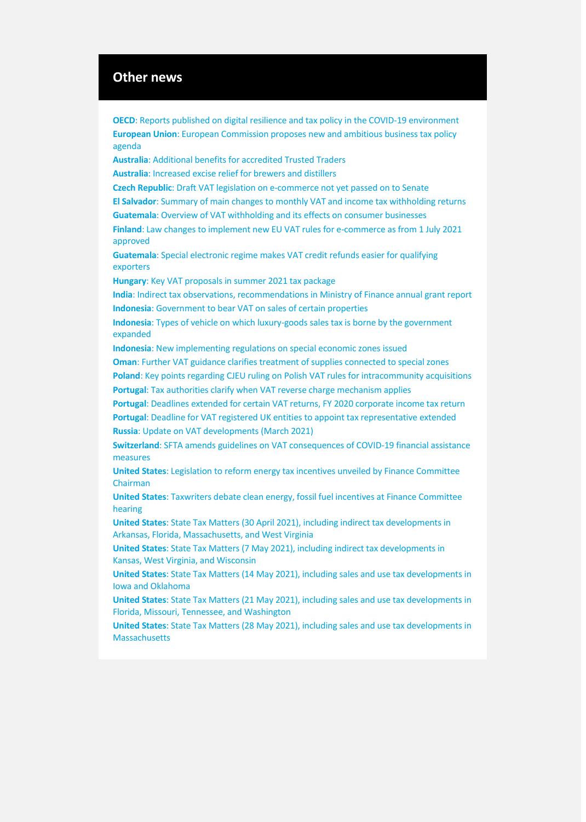#### **Other news**

**OECD**[: Reports published on digital resilience and tax policy in the COVID-19 environment](https://www.taxathand.com/article/17549/OECD/2021/Reports-published-on-digital-resilience-and-tax-policy-in-the-COVID-19-environment) **European Union**[: European Commission proposes new and ambitious business tax policy](https://www.taxathand.com/article/17645/European-Union/2021/European-Commission-proposes-new-and-ambitious-business-tax-policy-agenda)  [agenda](https://www.taxathand.com/article/17645/European-Union/2021/European-Commission-proposes-new-and-ambitious-business-tax-policy-agenda) **Australia**[: Additional benefits for accredited Trusted Traders](https://www.taxathand.com/article/17526/Australia/2021/Additional-benefits-for-accredited-Trusted-Traders-) **Australia**[: Increased excise relief for brewers and distillers](https://www.taxathand.com/article/17570/Australia/2021/Increased-excise-relief-for-brewers-and-distillers) **Czech Republic**: Draft [VAT legislation on e-commerce not yet passed on to Senate](https://www.taxathand.com/article/18670/Czech-Republic/2021/Draft-VAT-legislation-on-e-commerce-not-yet-passed-on-to-Senate) **El Salvador**[: Summary of main changes to monthly VAT and income tax withholding returns](https://www.taxathand.com/article/17571/El-Salvador/2021/Summary-of-main-changes-to-monthly-VAT-and-income-tax-withholding-returns) **Guatemala**[: Overview of VAT withholding and its effects on consumer businesses](https://www.taxathand.com/article/17557/Guatemala/2021/Overview-of-VAT-withholding-and-its-effects-on-consumer-businesses) **Finland**[: Law changes to implement new EU VAT rules for e-commerce as from 1 July 2021](https://www.taxathand.com/article/18685/Finland/2021/Law-changes-to-implement-new-EU-VAT-rules-for-e-commerce-as-from-1-July-2021-enacted)  [approved](https://www.taxathand.com/article/18685/Finland/2021/Law-changes-to-implement-new-EU-VAT-rules-for-e-commerce-as-from-1-July-2021-enacted) **Guatemala**[: Special electronic regime makes VAT credit refunds easier for qualifying](https://www.taxathand.com/article/18678/Guatemala/2021/Special-electronic-regime-makes-VAT-credit-refunds-easier-for-qualifying-exporters)  [exporters](https://www.taxathand.com/article/18678/Guatemala/2021/Special-electronic-regime-makes-VAT-credit-refunds-easier-for-qualifying-exporters) **Hungary**[: Key VAT proposals in summer 2021 tax package](https://www.taxathand.com/article/18673/Hungary/2021/Key-VAT-proposals-in-summer-2021-tax-package) **India**[: Indirect tax observations, recommendations in Ministry of Finance annual grant report](https://www.taxathand.com/article/17541/India/2021/Indirect-tax-observations-recommendations-in-Ministry-of-Finance-annual-grant-report) **Indonesia**[: Government to bear VAT on sales of certain properties](https://www.taxathand.com/article/17617/Indonesia/2021/Government-to-bear-VAT-on-sales-of-certain-properties) **Indonesia**[: Types of vehicle on which luxury-goods sales tax is borne by the government](https://www.taxathand.com/article/17529/Indonesia/2021/Types-of-vehicle-on-which-luxury-goods-sales-tax-is-borne-by-the-government-expanded)  [expanded](https://www.taxathand.com/article/17529/Indonesia/2021/Types-of-vehicle-on-which-luxury-goods-sales-tax-is-borne-by-the-government-expanded) **Indonesia**[: New implementing regulations on special economic zones issued](https://www.taxathand.com/article/17514/Indonesia/2021/New-implementing-regulations-on-special-economic-zones-issued) **Oman**[: Further VAT guidance clarifies treatment of supplies connected to special zones](https://www.taxathand.com/article/17587/Oman/2021/Further-VAT-guidance-clarifies-treatment-of-supplies-connected-to-special-zones) **Poland**[: Key points regarding CJEU ruling on Polish VAT rules for intracommunity acquisitions](https://www.taxathand.com/article/18665/Poland/2021/Key-points-regarding-CJEU-ruling-on-Polish-VAT-rules-for-intracommunity-acquisitions) **Portugal**[: Tax authorities clarify when VAT reverse charge mechanism applies](https://www.taxathand.com/article/18694/Portugal/2021/Tax-authorities-clarify-when-VAT-reverse-charge-mechanism-applies) **Portugal**[: Deadlines extended for certain VAT returns, FY 2020 corporate income tax return](https://www.taxathand.com/article/17574/Portugal/2021/Deadlines-extended-for-certain-VAT-returns-FY-2020-corporate-income-tax-return) **Portugal**[: Deadline for VAT registered UK entities to appoint tax representative extended](https://www.taxathand.com/article/18687/Portugal/2021/Deadline-for-VAT-registered-UK-entities-to-appoint-tax-representative-extended) **Russia**[: Update on VAT developments \(March 2021\)](https://www.taxathand.com/article/17628/Russia/2021/Update-on-VAT-developments-March-2021) **Switzerland**[: SFTA amends guidelines on VAT consequences of COVID-19 financial assistance](https://www.taxathand.com/article/18664/Switzerland/2021/SFTA-amends-guidelines-on-VAT-consequences-of-COVID-19-financial-assistance-measures-)  [measures](https://www.taxathand.com/article/18664/Switzerland/2021/SFTA-amends-guidelines-on-VAT-consequences-of-COVID-19-financial-assistance-measures-) **United States**[: Legislation to reform energy tax incentives unveiled by Finance Committee](https://www.taxathand.com/article/17535/United-States/2021/Legislation-to-reform-energy-tax-incentives-unveiled-by-Finance-Committee-Chairman)  [Chairman](https://www.taxathand.com/article/17535/United-States/2021/Legislation-to-reform-energy-tax-incentives-unveiled-by-Finance-Committee-Chairman) **United States**[: Taxwriters debate clean energy, fossil fuel incentives at Finance Committee](https://www.taxathand.com/article/17568/United-States/2021/Taxwriters-debate-clean-energy-fossil-fuel-incentives-at-Finance-Committee-hearing)  [hearing](https://www.taxathand.com/article/17568/United-States/2021/Taxwriters-debate-clean-energy-fossil-fuel-incentives-at-Finance-Committee-hearing) **United States**[: State Tax Matters \(30 April 2021\), including indirect tax developments in](https://www.taxathand.com/article/17566/United-States/2021/State-Tax-Matters-30-April-2021)  [Arkansas, Florida, Massachusetts, and West Virginia](https://www.taxathand.com/article/17566/United-States/2021/State-Tax-Matters-30-April-2021) **United States**[: State Tax Matters \(7 May 2021\), including indirect tax developments in](https://www.taxathand.com/article/17596/United-States/2021/State-Tax-Matters-7-May-2021)  [Kansas, West Virginia, and Wisconsin](https://www.taxathand.com/article/17596/United-States/2021/State-Tax-Matters-7-May-2021) **United States**[: State Tax Matters \(14 May 2021\), including](https://www.taxathand.com/article/17631/United-States/2021/State-Tax-Matters-14-May-2021) sales and use tax developments in [Iowa and Oklahoma](https://www.taxathand.com/article/17631/United-States/2021/State-Tax-Matters-14-May-2021) **United States**[: State Tax Matters \(21 May 2021\), including sales and use tax developments in](https://www.taxathand.com/article/17660/United-States/2021/State-Tax-Matters-21-May-2021)  [Florida, Missouri, Tennessee, and Washington](https://www.taxathand.com/article/17660/United-States/2021/State-Tax-Matters-21-May-2021) **United States**: State Tax Matters (28 [May 2021\), including sales and use tax developments in](https://www.taxathand.com/article/18688/United-States/2021/State-Tax-Matters-28-May-2021)  **[Massachusetts](https://www.taxathand.com/article/18688/United-States/2021/State-Tax-Matters-28-May-2021)**